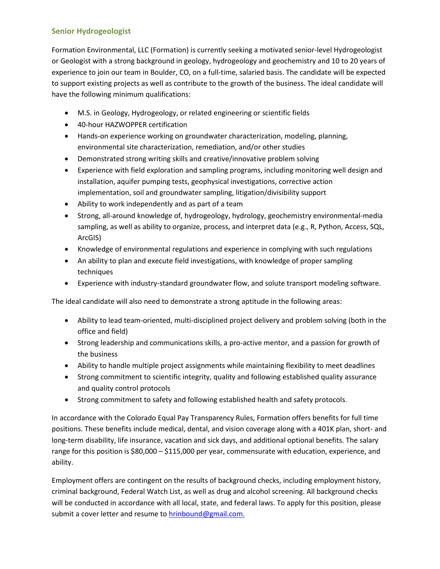## **Senior Hydrogeologist**

Formation Environmental, LLC (Formation) is currently seeking a motivated senior-level Hydrogeologist or Geologist with a strong background in geology, hydrogeology and geochemistry and 10 to 20 years of experience to join our team in Boulder, CO, on a full-time, salaried basis. The candidate will be expected to support existing projects as well as contribute to the growth of the business. The ideal candidate will have the following minimum qualifications:

- M.S. in Geology, Hydrogeology, or related engineering or scientific fields
- 40-hour HAZWOPPER certification
- Hands-on experience working on groundwater characterization, modeling, planning, environmental site characterization, remediation, and/or other studies
- Demonstrated strong writing skills and creative/innovative problem solving
- Experience with field exploration and sampling programs, including monitoring well design and installation, aquifer pumping tests, geophysical investigations, corrective action implementation, soil and groundwater sampling, litigation/divisibility support
- Ability to work independently and as part of a team
- Strong, all-around knowledge of, hydrogeology, hydrology, geochemistry environmental-media sampling, as well as ability to organize, process, and interpret data (e.g., R, Python, Access, SQL, ArcGIS)
- Knowledge of environmental regulations and experience in complying with such regulations
- An ability to plan and execute field investigations, with knowledge of proper sampling techniques
- Experience with industry-standard groundwater flow, and solute transport modeling software.

The ideal candidate will also need to demonstrate a strong aptitude in the following areas:

- Ability to lead team-oriented, multi-disciplined project delivery and problem solving (both in the office and field)
- Strong leadership and communications skills, a pro-active mentor, and a passion for growth of the business
- Ability to handle multiple project assignments while maintaining flexibility to meet deadlines
- Strong commitment to scientific integrity, quality and following established quality assurance and quality control protocols
- Strong commitment to safety and following established health and safety protocols.

In accordance with the Colorado Equal Pay Transparency Rules, Formation offers benefits for full time positions. These benefits include medical, dental, and vision coverage along with a 401K plan, short- and long-term disability, life insurance, vacation and sick days, and additional optional benefits. The salary range for this position is \$80,000 – \$115,000 per year, commensurate with education, experience, and ability.

Employment offers are contingent on the results of background checks, including employment history, criminal background, Federal Watch List, as well as drug and alcohol screening. All background checks will be conducted in accordance with all local, state, and federal laws. To apply for this position, please submit a cover letter and resume to [hrinbound@gmail.com.](mailto:hrinbound@gmail.com)